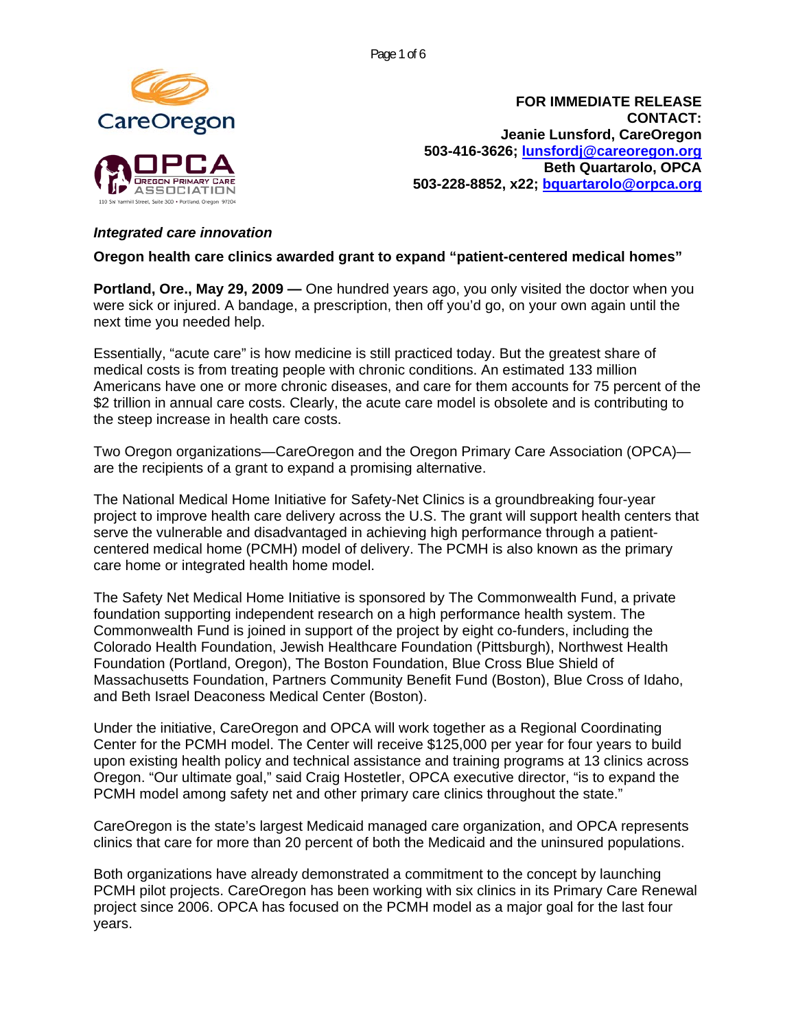Page 1 of 6



**FOR IMMEDIATE RELEASE CONTACT: Jeanie Lunsford, CareOregon 503-416-3626; [lunsfordj@careoregon.org](mailto:lunsfordj@careoregon.org) Beth Quartarolo, OPCA 503-228-8852, x22; [bquartarolo@orpca.org](mailto:bquartarolo@orpca.org)**

## *Integrated care innovation*

**Oregon health care clinics awarded grant to expand "patient-centered medical homes"** 

**Portland, Ore., May 29, 2009 —** One hundred years ago, you only visited the doctor when you were sick or injured. A bandage, a prescription, then off you'd go, on your own again until the next time you needed help.

Essentially, "acute care" is how medicine is still practiced today. But the greatest share of medical costs is from treating people with chronic conditions. An estimated 133 million Americans have one or more chronic diseases, and care for them accounts for 75 percent of the \$2 trillion in annual care costs. Clearly, the acute care model is obsolete and is contributing to the steep increase in health care costs.

Two Oregon organizations—CareOregon and the Oregon Primary Care Association (OPCA) are the recipients of a grant to expand a promising alternative.

The National Medical Home Initiative for Safety-Net Clinics is a groundbreaking four-year project to improve health care delivery across the U.S. The grant will support health centers that serve the vulnerable and disadvantaged in achieving high performance through a patientcentered medical home (PCMH) model of delivery. The PCMH is also known as the primary care home or integrated health home model.

The Safety Net Medical Home Initiative is sponsored by The Commonwealth Fund, a private foundation supporting independent research on a high performance health system. The Commonwealth Fund is joined in support of the project by eight co-funders, including the Colorado Health Foundation, Jewish Healthcare Foundation (Pittsburgh), Northwest Health Foundation (Portland, Oregon), The Boston Foundation, Blue Cross Blue Shield of Massachusetts Foundation, Partners Community Benefit Fund (Boston), Blue Cross of Idaho, and Beth Israel Deaconess Medical Center (Boston).

Under the initiative, CareOregon and OPCA will work together as a Regional Coordinating Center for the PCMH model. The Center will receive \$125,000 per year for four years to build upon existing health policy and technical assistance and training programs at 13 clinics across Oregon. "Our ultimate goal," said Craig Hostetler, OPCA executive director, "is to expand the PCMH model among safety net and other primary care clinics throughout the state."

CareOregon is the state's largest Medicaid managed care organization, and OPCA represents clinics that care for more than 20 percent of both the Medicaid and the uninsured populations.

Both organizations have already demonstrated a commitment to the concept by launching PCMH pilot projects. CareOregon has been working with six clinics in its Primary Care Renewal project since 2006. OPCA has focused on the PCMH model as a major goal for the last four years.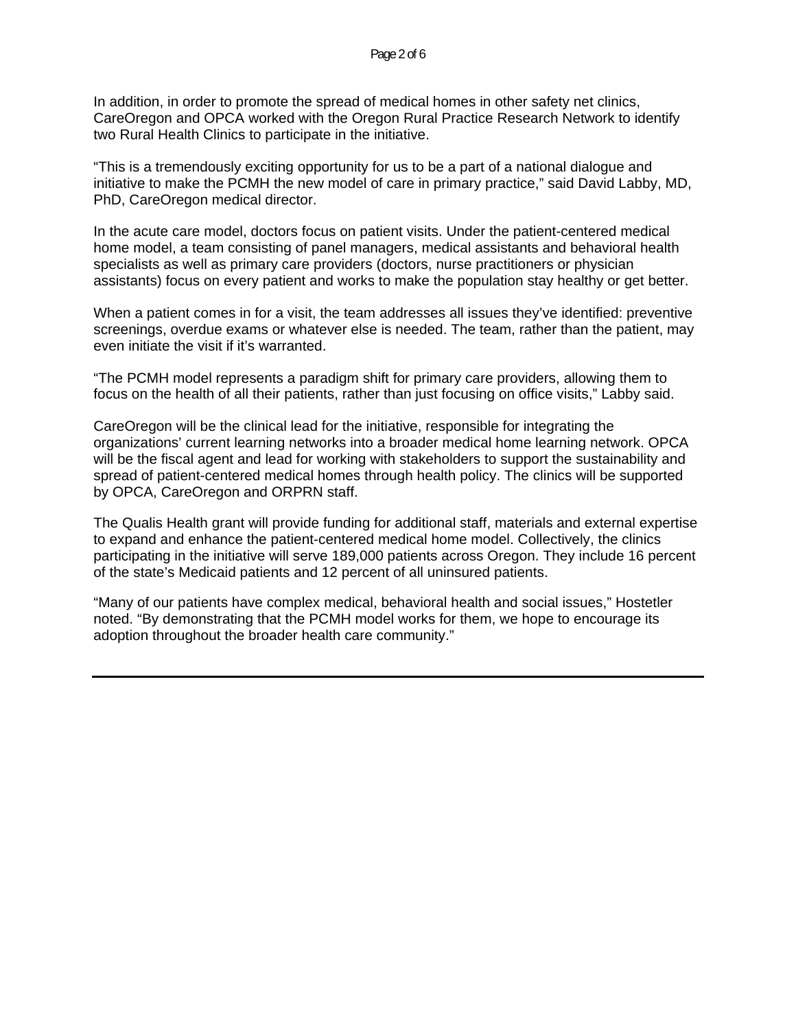In addition, in order to promote the spread of medical homes in other safety net clinics, CareOregon and OPCA worked with the Oregon Rural Practice Research Network to identify two Rural Health Clinics to participate in the initiative.

"This is a tremendously exciting opportunity for us to be a part of a national dialogue and initiative to make the PCMH the new model of care in primary practice," said David Labby, MD, PhD, CareOregon medical director.

In the acute care model, doctors focus on patient visits. Under the patient-centered medical home model, a team consisting of panel managers, medical assistants and behavioral health specialists as well as primary care providers (doctors, nurse practitioners or physician assistants) focus on every patient and works to make the population stay healthy or get better.

When a patient comes in for a visit, the team addresses all issues they've identified: preventive screenings, overdue exams or whatever else is needed. The team, rather than the patient, may even initiate the visit if it's warranted.

"The PCMH model represents a paradigm shift for primary care providers, allowing them to focus on the health of all their patients, rather than just focusing on office visits," Labby said.

CareOregon will be the clinical lead for the initiative, responsible for integrating the organizations' current learning networks into a broader medical home learning network. OPCA will be the fiscal agent and lead for working with stakeholders to support the sustainability and spread of patient-centered medical homes through health policy. The clinics will be supported by OPCA, CareOregon and ORPRN staff.

The Qualis Health grant will provide funding for additional staff, materials and external expertise to expand and enhance the patient-centered medical home model. Collectively, the clinics participating in the initiative will serve 189,000 patients across Oregon. They include 16 percent of the state's Medicaid patients and 12 percent of all uninsured patients.

"Many of our patients have complex medical, behavioral health and social issues," Hostetler noted. "By demonstrating that the PCMH model works for them, we hope to encourage its adoption throughout the broader health care community."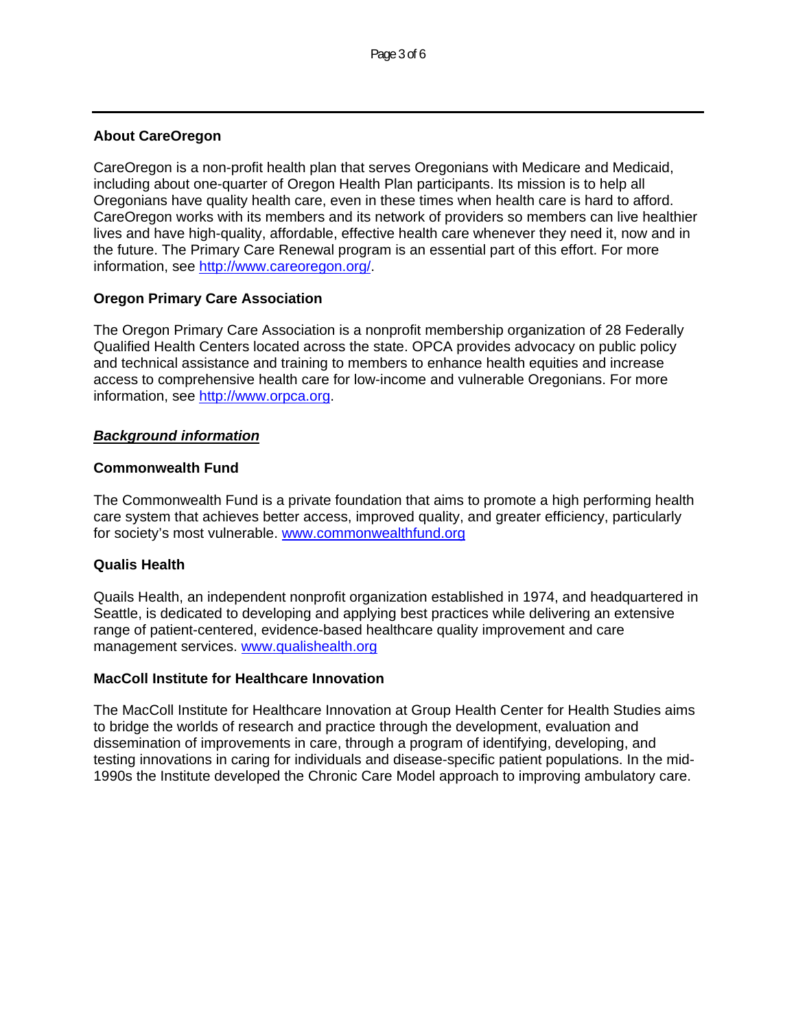## **About CareOregon**

CareOregon is a non-profit health plan that serves Oregonians with Medicare and Medicaid, including about one-quarter of Oregon Health Plan participants. Its mission is to help all Oregonians have quality health care, even in these times when health care is hard to afford. CareOregon works with its members and its network of providers so members can live healthier lives and have high-quality, affordable, effective health care whenever they need it, now and in the future. The Primary Care Renewal program is an essential part of this effort. For more information, see<http://www.careoregon.org/>.

# **Oregon Primary Care Association**

The Oregon Primary Care Association is a nonprofit membership organization of 28 Federally Qualified Health Centers located across the state. OPCA provides advocacy on public policy and technical assistance and training to members to enhance health equities and increase access to comprehensive health care for low-income and vulnerable Oregonians. For more information, see [http://www.orpca.org](http://www.orpca.org/).

### *Background information*

### **Commonwealth Fund**

The Commonwealth Fund is a private foundation that aims to promote a high performing health care system that achieves better access, improved quality, and greater efficiency, particularly for society's most vulnerable. [www.commonwealthfund.org](http://www.commonwealthfund.org/)

### **Qualis Health**

Quails Health, an independent nonprofit organization established in 1974, and headquartered in Seattle, is dedicated to developing and applying best practices while delivering an extensive range of patient-centered, evidence-based healthcare quality improvement and care management services. [www.qualishealth.org](http://www.qualishealth.org/)

### **MacColl Institute for Healthcare Innovation**

The MacColl Institute for Healthcare Innovation at Group Health Center for Health Studies aims to bridge the worlds of research and practice through the development, evaluation and dissemination of improvements in care, through a program of identifying, developing, and testing innovations in caring for individuals and disease-specific patient populations. In the mid-1990s the Institute developed the [Chronic Care Model](http://www.improvingchroniccare.org/index.php?p=The_Chronic_Care_Model&s=2) approach to improving ambulatory care.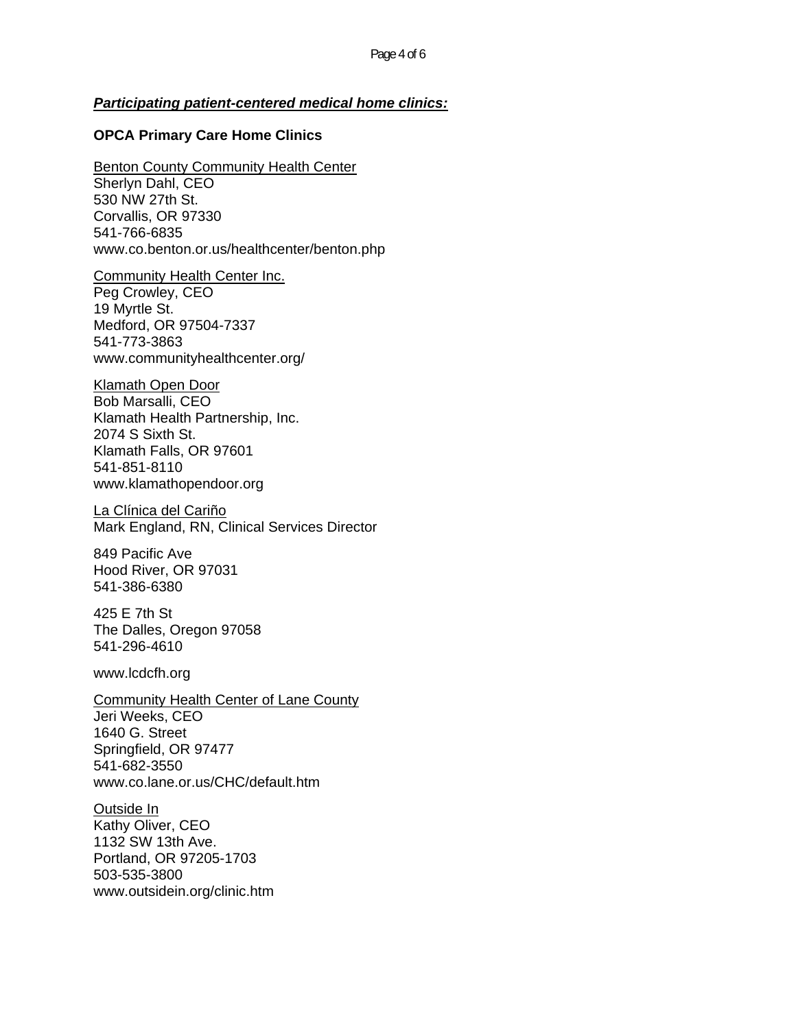#### *Participating patient-centered medical home clinics:*

#### **OPCA Primary Care Home Clinics**

Benton County Community Health Center Sherlyn Dahl, CEO 530 NW 27th St. Corvallis, OR 97330 541-766-6835 www.co.benton.or.us/healthcenter/benton.php

Community Health Center Inc. Peg Crowley, CEO 19 Myrtle St. Medford, OR 97504-7337 541-773-3863 www.communityhealthcenter.org/

Klamath Open Door Bob Marsalli, CEO Klamath Health Partnership, Inc. 2074 S Sixth St. Klamath Falls, OR 97601 541-851-8110 www.klamathopendoor.org

La Clínica del Cariño Mark England, RN, Clinical Services Director

849 Pacific Ave Hood River, OR 97031 541-386-6380

425 E 7th St The Dalles, Oregon 97058 541-296-4610

www.lcdcfh.org

Community Health Center of Lane County Jeri Weeks, CEO 1640 G. Street Springfield, OR 97477 541-682-3550 www.co.lane.or.us/CHC/default.htm

Outside In Kathy Oliver, CEO 1132 SW 13th Ave. Portland, OR 97205-1703 503-535-3800 www.outsidein.org/clinic.htm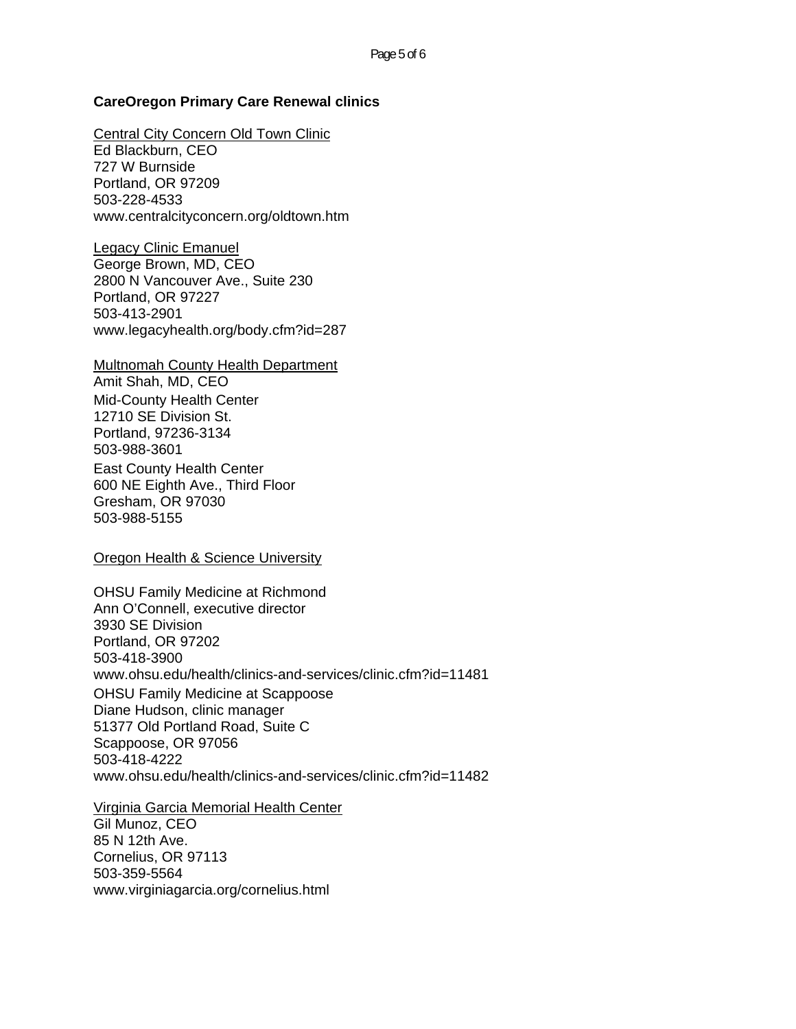#### **CareOregon Primary Care Renewal clinics**

Central City Concern Old Town Clinic Ed Blackburn, CEO 727 W Burnside Portland, OR 97209 503-228-4533 www.centralcityconcern.org/oldtown.htm

Legacy Clinic Emanuel George Brown, MD, CEO 2800 N Vancouver Ave., Suite 230 Portland, OR 97227 503-413-2901 www.legacyhealth.org/body.cfm?id=287

Multnomah County Health Department Amit Shah, MD, CEO Mid-County Health Center 12710 SE Division St. Portland, 97236-3134 503-988-3601 East County Health Center 600 NE Eighth Ave., Third Floor Gresham, OR 97030 503-988-5155

Oregon Health & Science University

OHSU Family Medicine at Richmond Ann O'Connell, executive director 3930 SE Division Portland, OR 97202 503-418-3900 www.ohsu.edu/health/clinics-and-services/clinic.cfm?id=11481 OHSU Family Medicine at Scappoose Diane Hudson, clinic manager 51377 Old Portland Road, Suite C Scappoose, OR 97056 503-418-4222 www.ohsu.edu/health/clinics-and-services/clinic.cfm?id=11482

Virginia Garcia Memorial Health Center

Gil Munoz, CEO 85 N 12th Ave. Cornelius, OR 97113 503-359-5564 www.virginiagarcia.org/cornelius.html